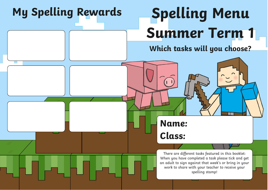## **My Spelling Rewards Spelling Menu Summer Term 1 Which tasks will you choose?** There are different tasks featured in this booklet: When you have completed a task please tick and get an adult to sign against that week's or bring in your work to share with your teacher to receive your spelling stamp! **Name: Class:**